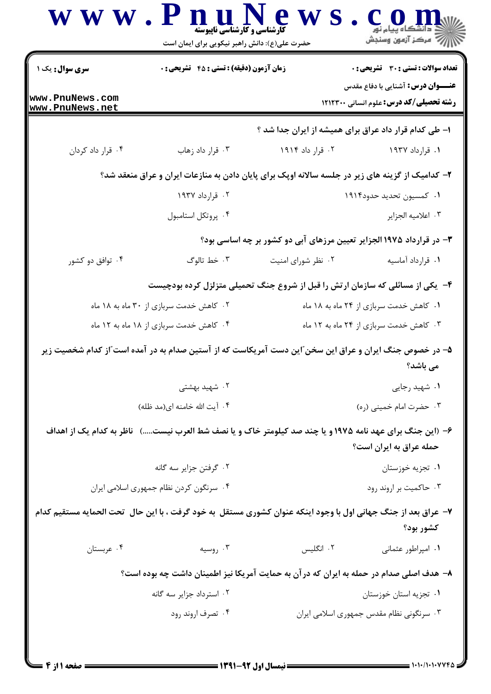| <b>سری سوال :</b> یک ۱                                                                                            | <b>زمان آزمون (دقیقه) : تستی : 45 تشریحی : 0</b> |                                                                                                           | <b>تعداد سوالات : تستي : 30 ٪ تشريحي : 0</b><br><b>عنــــوان درس:</b> آشنایی با دفاع مقدس |  |
|-------------------------------------------------------------------------------------------------------------------|--------------------------------------------------|-----------------------------------------------------------------------------------------------------------|-------------------------------------------------------------------------------------------|--|
| www.PnuNews.com<br>www.PnuNews.net                                                                                |                                                  |                                                                                                           | رشته تحصیلی/کد درس: علوم انسانی ۱۲۱۲۳۰۰                                                   |  |
|                                                                                                                   |                                                  | ۱– طی کدام قرار داد عراق برای همیشه از ایران جدا شد ؟                                                     |                                                                                           |  |
| ۰۴ قرار داد کردان                                                                                                 | ۰۳ قرار داد زهاب                                 | ۰۲ قرار داد ۱۹۱۴                                                                                          | ۱. قرارداد ۱۹۳۷                                                                           |  |
|                                                                                                                   |                                                  | ۲- کدامیک از گزینه های زیر در جلسه سالانه اوپک برای پایان دادن به منازعات ایران و عراق منعقد شد؟          |                                                                                           |  |
|                                                                                                                   | ۰۲ قرارداد ۱۹۳۷                                  |                                                                                                           | ۰۱ کمسیون تحدید حدود۱۹۱۴                                                                  |  |
|                                                                                                                   | ۰۴ پروتکل استامبول                               |                                                                                                           | ٠٣ اعلاميه الجزاير                                                                        |  |
|                                                                                                                   |                                                  | ۳- در قرارداد ۱۹۷۵ الجزایر تعیین مرزهای آبی دو کشور بر چه اساسی بود؟                                      |                                                                                           |  |
| ۰۴ توافق دو کشور                                                                                                  | ۰۳ خط تالوگ                                      | ۰۲ نظر شورای امنیت                                                                                        | ٠١ قرارداد آماسيه                                                                         |  |
|                                                                                                                   |                                                  | ۴- یکی از مسائلی که سازمان ارتش را قبل از شروع جنگ تحمیلی متزلزل کرده بودچیست                             |                                                                                           |  |
| ۰۲ کاهش خدمت سربازی از ۳۰ ماه به ۱۸ ماه                                                                           |                                                  | ۰۱ کاهش خدمت سربازی از ۲۴ ماه به ۱۸ ماه                                                                   |                                                                                           |  |
| ۴. کاهش خدمت سربازی از ۱۸ ماه به ۱۲ ماه                                                                           |                                                  | ۰۳ کاهش خدمت سربازی از ۲۴ ماه به ۱۲ ماه                                                                   |                                                                                           |  |
| ۵– در خصوص جنگ ایران و عراق این سخن ؒاین دست آمریکاست که از آستین صدام به در آمده است ؒاز کدام شخصیت زیر          |                                                  |                                                                                                           | می باشد؟                                                                                  |  |
|                                                                                                                   | ۰۲ شهید بهشتی                                    |                                                                                                           | ۰۱ شهید رجایی                                                                             |  |
| ۰۴ آیت الله خامنه ای(مد ظله)                                                                                      |                                                  | ۰۳ حضرت امام خمینی (ره)                                                                                   |                                                                                           |  |
|                                                                                                                   |                                                  | ۶– (این جنگ برای عهد نامه ۱۹۷۵ و یا چند صد کیلومتر خاک و یا نصف شط العرب نیست)   ناظر به کدام یک از اهداف | حمله عراق به ایران است؟                                                                   |  |
|                                                                                                                   | ۰۲ گرفتن جزایر سه گانه                           |                                                                                                           | ٠١ تجزيه خوزستان                                                                          |  |
| ۰۴ سرنگون کردن نظام جمهوری اسلامی ایران                                                                           |                                                  | ۰۳ حاکمیت بر اروند رود                                                                                    |                                                                                           |  |
| ۷– عراق بعد از جنگ جهانی اول با وجود اینکه عنوان کشوری مستقل ً به خود گرفت ، با این حال ۖ تحت الحمایه مستقیم کدام |                                                  |                                                                                                           | کشور بود؟                                                                                 |  |
| ۰۴ عربستان                                                                                                        | ۰۳ روسیه                                         | ۰۲ انگلیس                                                                                                 | ٠١ امپراطور عثماني                                                                        |  |
|                                                                                                                   |                                                  | ۸– هدف اصلی صدام در حمله به ایران که در آن به حمایت آمریکا نیز اطمینان داشت چه بوده است؟                  |                                                                                           |  |
|                                                                                                                   | ۰۲ استرداد جزایر سه گانه                         |                                                                                                           | ٠١ تجزيه استان خوزستان                                                                    |  |
|                                                                                                                   | ۰۴ تصرف اروند رود                                |                                                                                                           | ۰۳ سرنگونی نظام مقدس جمهوری اسلامی ایران                                                  |  |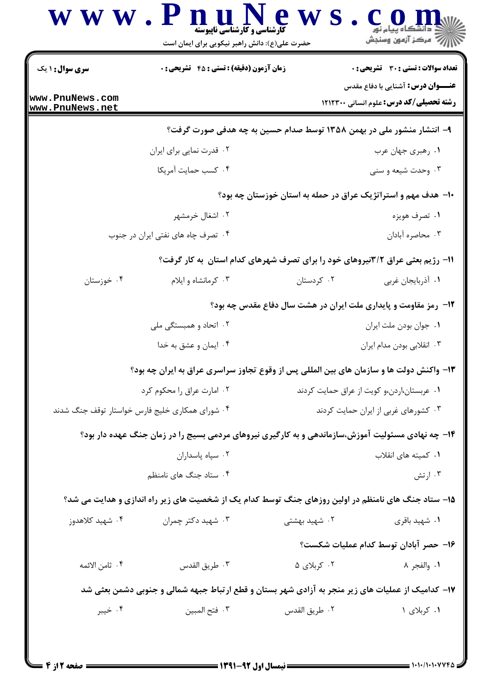| <b>سری سوال :</b> ۱ یک                          | زمان آزمون (دقیقه) : تستی : 45 آتشریحی : 0                                                          |                                            | <b>تعداد سوالات : تستی : 30 ٪ تشریحی : 0</b>                                               |
|-------------------------------------------------|-----------------------------------------------------------------------------------------------------|--------------------------------------------|--------------------------------------------------------------------------------------------|
| www.PnuNews.com<br>www.PnuNews.net              |                                                                                                     |                                            | <b>عنـــوان درس:</b> آشنایی با دفاع مقدس<br><b>رشته تحصیلی/کد درس:</b> علوم انسانی ۱۲۱۲۳۰۰ |
|                                                 | ۹- انتشار منشور ملی در بهمن ۱۳۵۸ توسط صدام حسین به چه هدفی صورت گرفت؟                               |                                            |                                                                                            |
|                                                 | ۰۲ قدرت نمایی برای ایران                                                                            |                                            | ۰۱ رهبري جهان عرب                                                                          |
|                                                 | ۰۴ كسب حمايت آمريكا                                                                                 |                                            | ۰۳ وحدت شیعه و سنی                                                                         |
|                                                 |                                                                                                     |                                            | +۱- هدف مهم و استراتژیک عراق در حمله به استان خوزستان چه بود؟                              |
|                                                 | ۰۲ اشغال خرمشهر                                                                                     |                                            | ۰۱ تصرف هويزه                                                                              |
| ۰۴ تصرف چاه های نفتی ایران در جنوب              |                                                                                                     |                                            | ۰۳ محاصره أبادان                                                                           |
|                                                 | <b>۱۱- رژیم بعثی عراق ۳/۲نیروهای خود را برای تصرف شهرهای کدام استان  به کار گرفت؟</b>               |                                            |                                                                                            |
| ۰۴ خوزستان                                      | ۰۳ کرمانشاه و ایلام                                                                                 | ۰۲ کردستان                                 | ٠١ أذربايجان غربي                                                                          |
|                                                 |                                                                                                     |                                            | ۱۲- رمز مقاومت و پایداری ملت ایران در هشت سال دفاع مقدس چه بود؟                            |
|                                                 | ۰۲ اتحاد و همبستگی ملی                                                                              |                                            | ٠١ جوان بودن ملت ايران                                                                     |
|                                                 | ۰۴ ایمان و عشق به خدا                                                                               |                                            | ۰۳ انقلابي بودن مدام ايران                                                                 |
|                                                 | ۱۳- واکنش دولت ها و سازمان های بین المللی پس از وقوع تجاوز سراسری عراق به ایران چه بود؟             |                                            |                                                                                            |
| ۰۲ امارت عراق را محکوم کرد                      |                                                                                                     | ٠١ عربستان،اردن،و كويت از عراق حمايت كردند |                                                                                            |
| ۰۴ شورای همکاری خلیج فارس خواستار توقف جنگ شدند |                                                                                                     | ۰۳ کشورهای غربی از ایران حمایت کردند       |                                                                                            |
|                                                 | ۱۴- چه نهادی مسئولیت آموزش،سازماندهی و به کارگیری نیروهای مردمی بسیج را در زمان جنگ عهده دار بود؟   |                                            |                                                                                            |
| ۰۲ سپاه پاسداران                                |                                                                                                     |                                            | ۰۱ کمیته های انقلاب                                                                        |
|                                                 | ۰۴ ستاد جنگ های نامنظم                                                                              |                                            | ۰۳ ارتش                                                                                    |
|                                                 | ۱۵– ستاد جنگ های نامنظم در اولین روزهای جنگ توسط کدام یک از شخصیت های زیر راه اندازی و هدایت می شد؟ |                                            |                                                                                            |
| ۰۴ شهید کلاهدوز                                 | ۰۳ شهید دکتر چمران                                                                                  | ۰۲ شهید بهشتی                              | ۰۱ شهید باقری                                                                              |
|                                                 |                                                                                                     |                                            | ۱۶– حصر آبادان توسط کدام عملیات شکست؟                                                      |
| ۴ . ثامن الائمه                                 | ۰۳ طريق القدس                                                                                       | ۰۲ کربلای ۵                                | ٠١. والفجر ٨                                                                               |
|                                                 | ۱۷– کدامیک از عملیات های زیر منجر به آزادی شهر بستان و قطع ارتباط جبهه شمالی و جنوبی دشمن بعثی شد   |                                            |                                                                                            |
| ۰۴ خيبر                                         | ٠٣ فتح المبين                                                                                       | ٠٢ طريق القدس                              | ۰۱ کربلای ۱                                                                                |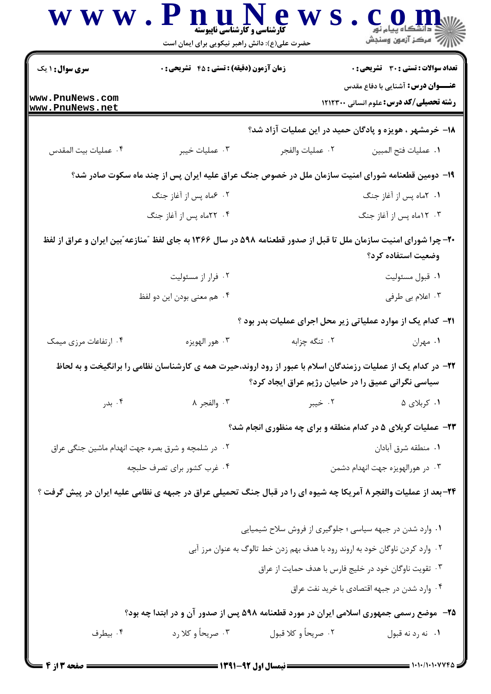|                                                   |                                                                                                                  | حضرت علی(ع): دانش راهبر نیکویی برای ایمان است | ڪ دانشگاه پيام نور<br>   > مرکز آزمون وسنڊش                                                 |
|---------------------------------------------------|------------------------------------------------------------------------------------------------------------------|-----------------------------------------------|---------------------------------------------------------------------------------------------|
| <b>سری سوال : ۱ یک</b>                            | <b>زمان آزمون (دقیقه) : تستی : 45 گشریحی : 0</b>                                                                 |                                               | <b>تعداد سوالات : تستی : 30 - تشریحی : 0</b>                                                |
| www.PnuNews.com<br>www.PnuNews.net                |                                                                                                                  |                                               | <b>عنــــوان درس:</b> آشنایی با دفاع مقدس<br><b>رشته تحصیلی/کد درس:</b> علوم انسانی ۱۲۱۲۳۰۰ |
|                                                   |                                                                                                                  |                                               | ۱۸– خرمشهر ، هویزه و پادگان حمید در این عملیات آزاد شد؟                                     |
| ۰۴ عمليات بيت المقدس                              | ۰۳ عملیات خیبر                                                                                                   | ٠٢ عمليات والفجر                              | ٠١. عمليات فتح المبين                                                                       |
|                                                   | ۱۹- دومین قطعنامه شورای امنیت سازمان ملل در خصوص جنگ عراق علیه ایران پس از چند ماه سکوت صادر شد؟                 |                                               |                                                                                             |
|                                                   | ۰۲ عماه پس از آغاز جنگ                                                                                           |                                               | ۰۱ ۲ماه پس از آغاز جنگ                                                                      |
|                                                   | ۰۴ ۲۲ماه پس از آغاز جنگ                                                                                          |                                               | ۰۳ ۱۲ماه پس از آغاز جنگ                                                                     |
|                                                   | ۲۰- چرا شورای امنیت سازمان ملل تا قبل از صدور قطعنامه ۵۹۸ در سال ۱۳۶۶ به جای لفظ "منازعه"بین ایران و عراق از لفظ |                                               | وضعيت استفاده كرد؟                                                                          |
|                                                   | ۰۲ فرار از مسئولیت                                                                                               |                                               | ٠١ قبول مسئوليت                                                                             |
|                                                   | ۰۴ هم معنى بودن اين دو لفظ                                                                                       |                                               | ۰۳ اعلام بي طرفي                                                                            |
|                                                   |                                                                                                                  |                                               | <b>۲۱</b> – کدام یک از موارد عملیاتی زیر محل اجرای عملیات بدر بود ؟                         |
| ۰۴ ارتفاعات مرزی میمک                             | ۰۳ هور الهويزه                                                                                                   | ۰۲ تنگه چزابه                                 | ۰۱ مهران                                                                                    |
|                                                   | ۲۲– در کدام یک از عملیات رزمندگان اسلام با عبور از رود اروند،حیرت همه ی کارشناسان نظامی را برانگیخت و به لحاظ    |                                               | سیاسی نگرانی عمیق را در حامیان رژیم عراق ایجاد کرد؟                                         |
| ۰۴ بدر                                            | ۰۳ والفجر ۸                                                                                                      | ۰۲ خیبر                                       | ۰۱ کربلای ۵                                                                                 |
|                                                   |                                                                                                                  |                                               | <b>۲۳</b> - عملیات کربلای ۵ در کدام منطقه و برای چه منظوری انجام شد؟                        |
| ۰۲ در شلمچه و شرق بصره جهت انهدام ماشین جنگی عراق |                                                                                                                  | ٠١ منطقه شرق أبادان                           |                                                                                             |
|                                                   | ۰۴ غرب کشور برای تصرف حلبچه                                                                                      |                                               | ۰۳ در هورالهویزه جهت انهدام دشمن                                                            |
|                                                   | ۲۴-بعد از عملیات والفجر ۸ آمریکا چه شیوه ای را در قبال جنگ تحمیلی عراق در جبهه ی نظامی علیه ایران در پیش گرفت ؟  |                                               |                                                                                             |
|                                                   |                                                                                                                  |                                               | ۰۱ وارد شدن در جبهه سیاسی ؛ جلوگیری از فروش سلاح شیمیایی                                    |
|                                                   |                                                                                                                  |                                               | ۰۲ وارد کردن ناوگان خود به اروند رود با هدف بهم زدن خط تالوگ به عنوان مرز آبی               |
|                                                   |                                                                                                                  |                                               | ۰۳ تقویت ناوگان خود در خلیج فارس با هدف حمایت از عراق                                       |
|                                                   |                                                                                                                  |                                               | ۰۴ وارد شدن در جبهه اقتصادی با خرید نفت عراق                                                |
|                                                   | ۲۵-- موضع رسمی جمهوری اسلامی ایران در مورد قطعنامه ۵۹۸ پس از صدور آن و در ابتدا چه بود؟                          |                                               |                                                                                             |
| ۰۴ بیطرف                                          | ۰۳ صريحاً و کلا رد                                                                                               | ٢. صريحاً و كلا قبول                          | ٠١. نه رد نه قبول                                                                           |